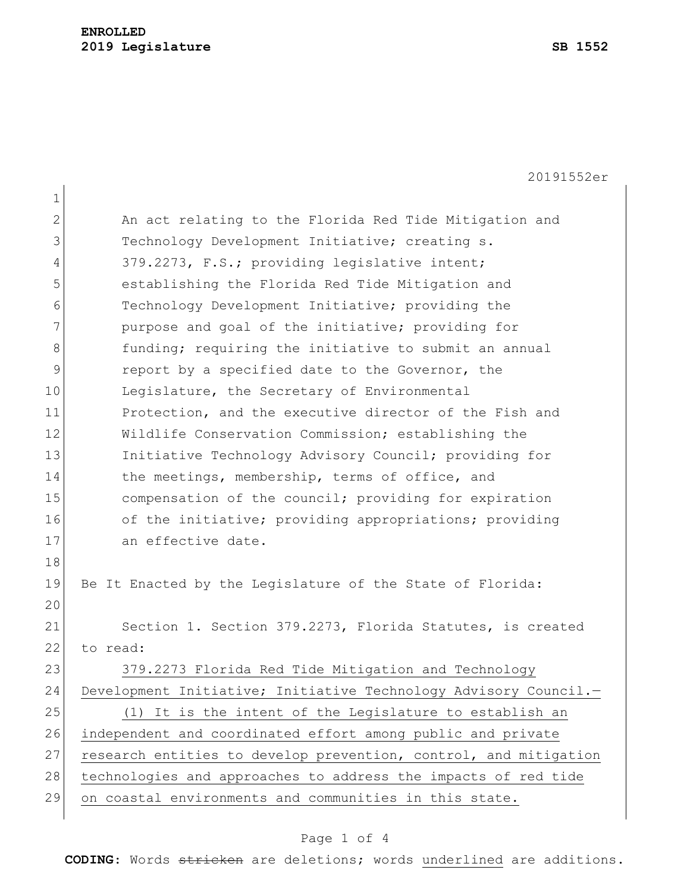20191552er

| $\mathbf 1$  |                                                                  |
|--------------|------------------------------------------------------------------|
| $\mathbf{2}$ | An act relating to the Florida Red Tide Mitigation and           |
| 3            | Technology Development Initiative; creating s.                   |
| 4            | 379.2273, F.S.; providing legislative intent;                    |
| 5            | establishing the Florida Red Tide Mitigation and                 |
| 6            | Technology Development Initiative; providing the                 |
| 7            | purpose and goal of the initiative; providing for                |
| 8            | funding; requiring the initiative to submit an annual            |
| $\mathsf 9$  | report by a specified date to the Governor, the                  |
| 10           | Legislature, the Secretary of Environmental                      |
| 11           | Protection, and the executive director of the Fish and           |
| 12           | Wildlife Conservation Commission; establishing the               |
| 13           | Initiative Technology Advisory Council; providing for            |
| 14           | the meetings, membership, terms of office, and                   |
| 15           | compensation of the council; providing for expiration            |
| 16           | of the initiative; providing appropriations; providing           |
| 17           | an effective date.                                               |
| 18           |                                                                  |
| 19           | Be It Enacted by the Legislature of the State of Florida:        |
| 20           |                                                                  |
| 21           | Section 1. Section 379.2273, Florida Statutes, is created        |
| 22           | to read:                                                         |
| 23           | 379.2273 Florida Red Tide Mitigation and Technology              |
| 24           | Development Initiative; Initiative Technology Advisory Council.- |
| 25           | (1) It is the intent of the Legislature to establish an          |
| 26           | independent and coordinated effort among public and private      |
| 27           | research entities to develop prevention, control, and mitigation |
| 28           | technologies and approaches to address the impacts of red tide   |
| 29           | on coastal environments and communities in this state.           |

## Page 1 of 4

**CODING**: Words stricken are deletions; words underlined are additions.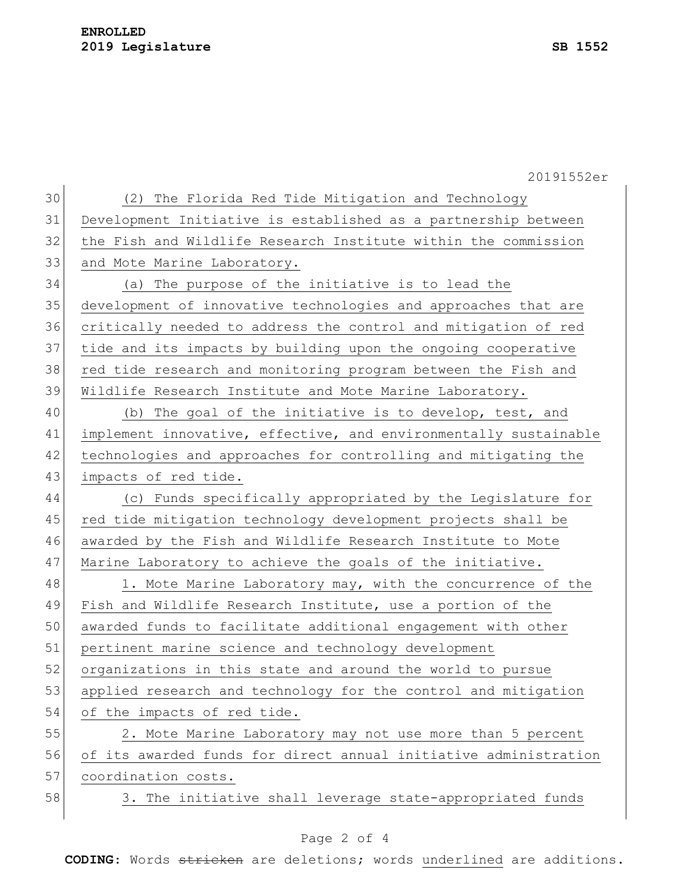## **ENROLLED 2019 Legislature SB 1552**

20191552er (2) The Florida Red Tide Mitigation and Technology Development Initiative is established as a partnership between the Fish and Wildlife Research Institute within the commission 33 and Mote Marine Laboratory. (a) The purpose of the initiative is to lead the development of innovative technologies and approaches that are critically needed to address the control and mitigation of red tide and its impacts by building upon the ongoing cooperative red tide research and monitoring program between the Fish and Wildlife Research Institute and Mote Marine Laboratory. 40 (b) The goal of the initiative is to develop, test, and 41 implement innovative, effective, and environmentally sustainable technologies and approaches for controlling and mitigating the 43 impacts of red tide. (c) Funds specifically appropriated by the Legislature for 45 red tide mitigation technology development projects shall be awarded by the Fish and Wildlife Research Institute to Mote 47 Marine Laboratory to achieve the goals of the initiative. 48 1. Mote Marine Laboratory may, with the concurrence of the Fish and Wildlife Research Institute, use a portion of the awarded funds to facilitate additional engagement with other pertinent marine science and technology development organizations in this state and around the world to pursue applied research and technology for the control and mitigation 54 of the impacts of red tide. 2. Mote Marine Laboratory may not use more than 5 percent of its awarded funds for direct annual initiative administration 57 coordination costs. 58 3. The initiative shall leverage state-appropriated funds

## Page 2 of 4

**CODING**: Words stricken are deletions; words underlined are additions.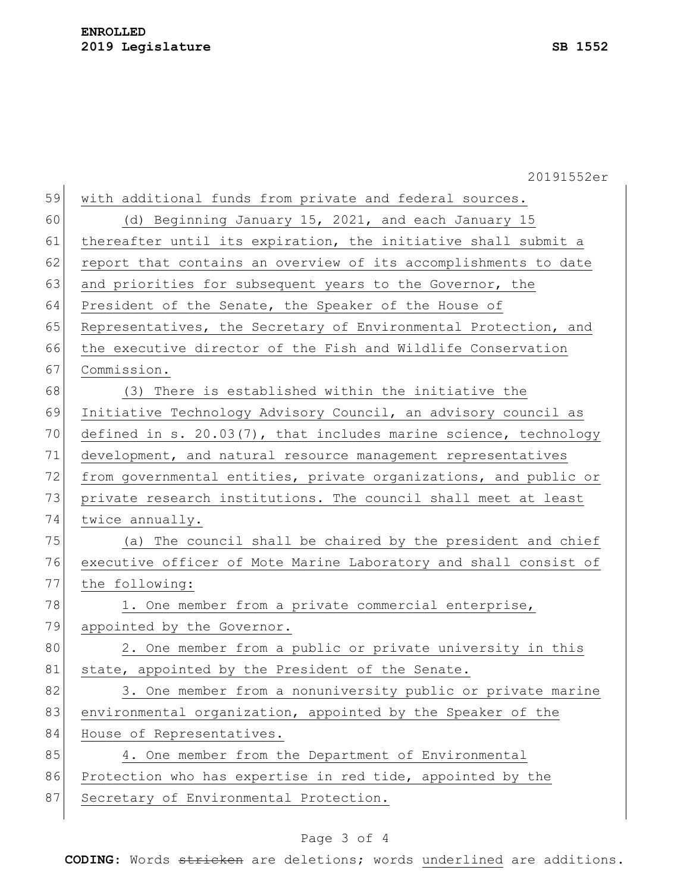|    | 20191552er                                                          |
|----|---------------------------------------------------------------------|
| 59 | with additional funds from private and federal sources.             |
| 60 | (d) Beginning January 15, 2021, and each January 15                 |
| 61 | thereafter until its expiration, the initiative shall submit a      |
| 62 | report that contains an overview of its accomplishments to date     |
| 63 | and priorities for subsequent years to the Governor, the            |
| 64 | President of the Senate, the Speaker of the House of                |
| 65 | Representatives, the Secretary of Environmental Protection, and     |
| 66 | the executive director of the Fish and Wildlife Conservation        |
| 67 | Commission.                                                         |
| 68 | (3) There is established within the initiative the                  |
| 69 | Initiative Technology Advisory Council, an advisory council as      |
| 70 | defined in s. $20.03(7)$ , that includes marine science, technology |
| 71 | development, and natural resource management representatives        |
| 72 | from governmental entities, private organizations, and public or    |
| 73 | private research institutions. The council shall meet at least      |
| 74 | twice annually.                                                     |
| 75 | (a) The council shall be chaired by the president and chief         |
| 76 | executive officer of Mote Marine Laboratory and shall consist of    |
| 77 | the following:                                                      |
| 78 | 1. One member from a private commercial enterprise,                 |
| 79 | appointed by the Governor.                                          |
| 80 | 2. One member from a public or private university in this           |
| 81 | state, appointed by the President of the Senate.                    |
| 82 | 3. One member from a nonuniversity public or private marine         |
| 83 | environmental organization, appointed by the Speaker of the         |
| 84 | House of Representatives.                                           |
| 85 | 4. One member from the Department of Environmental                  |
| 86 | Protection who has expertise in red tide, appointed by the          |
| 87 | Secretary of Environmental Protection.                              |
|    |                                                                     |

## Page 3 of 4

**CODING**: Words stricken are deletions; words underlined are additions.